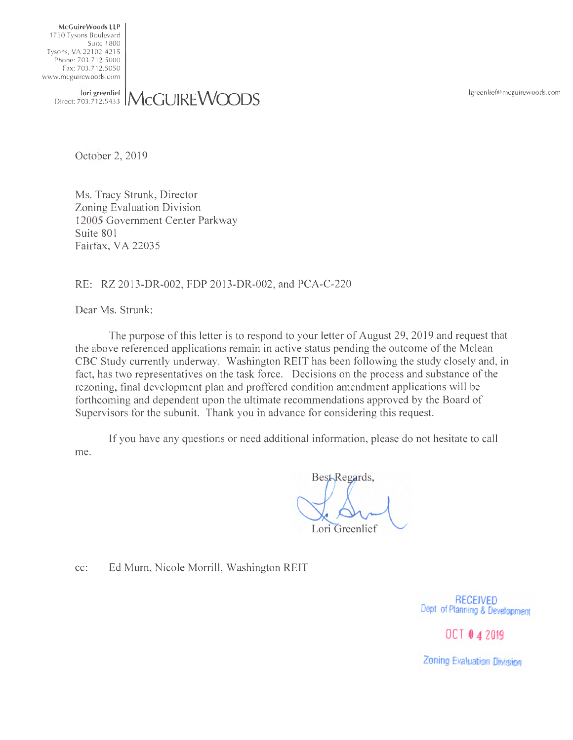lgreenlief@mcguirewoods.com

McGuireWoods LLP 1750 Tysons Boulevard Suite 1800 Tysons, VA 22102-4215 Phone: 703.7 12.5000 Fax: 703.7 12.5050 www. mcguirewoods.com

lori greenlief Direct: 703.7 12.5433 **McGUIREWCDDS** 

October 2, 2019

Ms. Tracy Strunk, Director Zoning Evaluation Division 12005 Government Center Parkway Suite 801 Fairfax, VA 22035

## RE: RZ 2013-DR-002, FDP 2013-DR-002, and PCA-C-220

Dear Ms. Strunk:

The purpose of this letter is to respond to your letter of August 29, 2019 and request that the above referenced applications remain in active status pending the outcome of the Mclean CBC Study currently underway. Washington REIT has been following the study closely and, in fact, has two representatives on the task force. Decisions on the process and substance of the rezoning, final development plan and proffered condition amendment applications will be forthcoming and dependent upon the ultimate recommendations approved by the Board of Supervisors for the subunit. Thank you in advance for considering this request.

If you have any questions or need additional information, please do not hesitate to call me.

Best-Regards, Lori Greenlief

cc: Ed Mum, Nicole Morrill, Washington REIT

**RECEIVED**  Dept of Planning & Development

OCT 0 4 2019

Zoning Evaluation Division